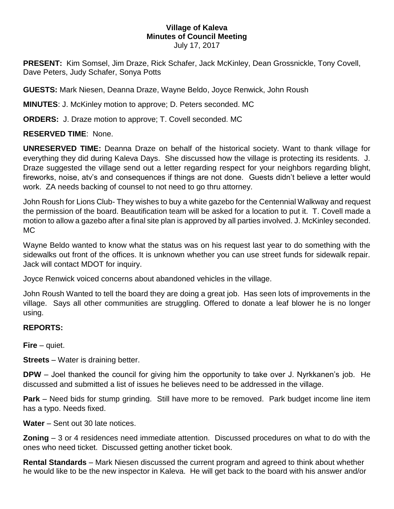## **Village of Kaleva Minutes of Council Meeting**

July 17, 2017

**PRESENT:** Kim Somsel, Jim Draze, Rick Schafer, Jack McKinley, Dean Grossnickle, Tony Covell, Dave Peters, Judy Schafer, Sonya Potts

**GUESTS:** Mark Niesen, Deanna Draze, Wayne Beldo, Joyce Renwick, John Roush

**MINUTES**: J. McKinley motion to approve; D. Peters seconded. MC

**ORDERS:** J. Draze motion to approve; T. Covell seconded. MC

**RESERVED TIME**: None.

**UNRESERVED TIME:** Deanna Draze on behalf of the historical society. Want to thank village for everything they did during Kaleva Days. She discussed how the village is protecting its residents. J. Draze suggested the village send out a letter regarding respect for your neighbors regarding blight, fireworks, noise, atv's and consequences if things are not done. Guests didn't believe a letter would work. ZA needs backing of counsel to not need to go thru attorney.

John Roush for Lions Club- They wishes to buy a white gazebo for the Centennial Walkway and request the permission of the board. Beautification team will be asked for a location to put it. T. Covell made a motion to allow a gazebo after a final site plan is approved by all parties involved. J. McKinley seconded. MC

Wayne Beldo wanted to know what the status was on his request last year to do something with the sidewalks out front of the offices. It is unknown whether you can use street funds for sidewalk repair. Jack will contact MDOT for inquiry.

Joyce Renwick voiced concerns about abandoned vehicles in the village.

John Roush Wanted to tell the board they are doing a great job. Has seen lots of improvements in the village. Says all other communities are struggling. Offered to donate a leaf blower he is no longer using.

## **REPORTS:**

**Fire** – quiet.

**Streets** – Water is draining better.

**DPW** – Joel thanked the council for giving him the opportunity to take over J. Nyrkkanen's job. He discussed and submitted a list of issues he believes need to be addressed in the village.

**Park** – Need bids for stump grinding. Still have more to be removed. Park budget income line item has a typo. Needs fixed.

**Water** – Sent out 30 late notices.

**Zoning** – 3 or 4 residences need immediate attention. Discussed procedures on what to do with the ones who need ticket. Discussed getting another ticket book.

**Rental Standards** – Mark Niesen discussed the current program and agreed to think about whether he would like to be the new inspector in Kaleva. He will get back to the board with his answer and/or